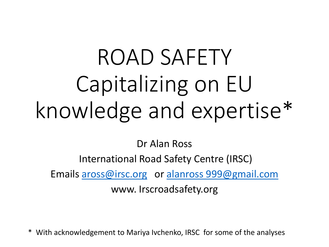# ROAD SAFETY Capitalizing on EU knowledge and expertise\*

Dr Alan Ross

International Road Safety Centre (IRSC)

Emails [aross@irsc.org](mailto:aross@irsc.org) or [alanross 999@gmail.com](mailto:alanross999@gmail.com)

www. Irscroadsafety.org

With acknowledgement to Mariya Ivchenko, IRSC for some of the analyses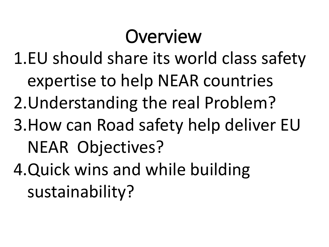## Overview

- 1.EU should share its world class safety expertise to help NEAR countries
- 2.Understanding the real Problem?
- 3.How can Road safety help deliver EU NEAR Objectives?
- 4.Quick wins and while building sustainability?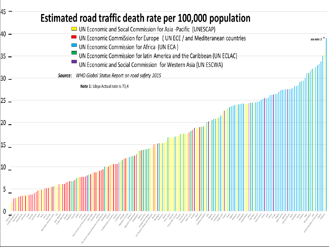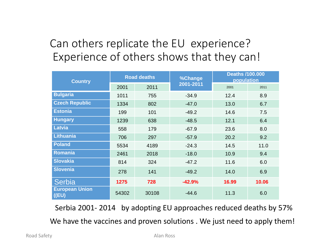### Can others replicate the EU experience? Experience of others shows that they can!

| <b>Country</b>                    | <b>Road deaths</b> |       | %Change   | <b>Deaths /100.000</b><br>population |       |
|-----------------------------------|--------------------|-------|-----------|--------------------------------------|-------|
|                                   | 2001               | 2011  | 2001-2011 | 2001                                 | 2011  |
| <b>Bulgaria</b>                   | 1011               | 755   | $-34.9$   | 12.4                                 | 8.9   |
| <b>Czech Republic</b>             | 1334               | 802   | $-47.0$   | 13.0                                 | 6.7   |
| <b>Estonia</b>                    | 199                | 101   | $-49.2$   | 14.6                                 | 7.5   |
| <b>Hungary</b>                    | 1239               | 638   | $-48.5$   | 12.1                                 | 6.4   |
| <b>Latvia</b>                     | 558                | 179   | $-67.9$   | 23.6                                 | 8.0   |
| <b>Lithuania</b>                  | 706                | 297   | $-57.9$   | 20.2                                 | 9.2   |
| <b>Poland</b>                     | 5534               | 4189  | $-24.3$   | 14.5                                 | 11.0  |
| <b>Romania</b>                    | 2461               | 2018  | $-18.0$   | 10.9                                 | 9.4   |
| <b>Slovakia</b>                   | 814                | 324   | $-47.2$   | 11.6                                 | 6.0   |
| <b>Slovenia</b>                   | 278                | 141   | $-49.2$   | 14.0                                 | 6.9   |
| Serbia                            | 1275               | 728   | $-42.9%$  | 16.99                                | 10.06 |
| <b>European Union</b><br>$($ (EU) | 54302              | 30108 | $-44.6$   | 11.3                                 | 6.0   |

Serbia 2001- 2014 by adopting EU approaches reduced deaths by 57% We have the vaccines and proven solutions . We just need to apply them!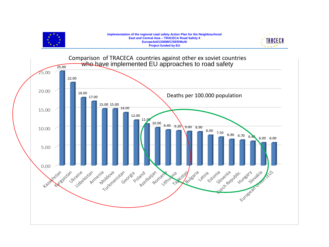

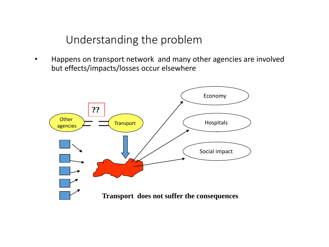### Understanding the problem

• Happens on transport network and many other agencies are involved but effects/impacts/losses occur elsewhere

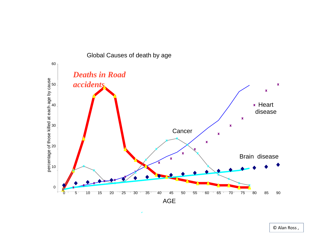

Global Causes of death by age

© Alan Ross ,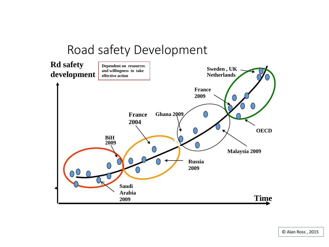## Road safety Development



© Alan Ross , 2015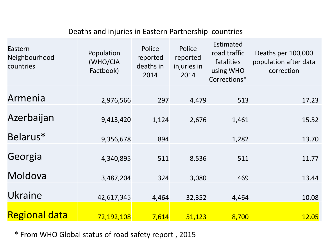#### Deaths and injuries in Eastern Partnership countries

| Eastern<br>Neighbourhood<br>countries | Population<br>(WHO/CIA<br>Factbook) | Police<br>reported<br>deaths in<br>2014 | Police<br>reported<br>injuries in<br>2014 | Estimated<br>road traffic<br>fatalities<br>using WHO<br>Corrections* | Deaths per 100,000<br>population after data<br>correction |
|---------------------------------------|-------------------------------------|-----------------------------------------|-------------------------------------------|----------------------------------------------------------------------|-----------------------------------------------------------|
| Armenia                               | 2,976,566                           | 297                                     | 4,479                                     | 513                                                                  | 17.23                                                     |
| Azerbaijan                            | 9,413,420                           | 1,124                                   | 2,676                                     | 1,461                                                                | 15.52                                                     |
| Belarus*                              | 9,356,678                           | 894                                     |                                           | 1,282                                                                | 13.70                                                     |
| Georgia                               | 4,340,895                           | 511                                     | 8,536                                     | 511                                                                  | 11.77                                                     |
| Moldova                               | 3,487,204                           | 324                                     | 3,080                                     | 469                                                                  | 13.44                                                     |
| Ukraine                               | 42,617,345                          | 4,464                                   | 32,352                                    | 4,464                                                                | 10.08                                                     |
| <b>Regional data</b>                  | 72,192,108                          | 7,614                                   | 51,123                                    | 8,700                                                                | 12.05                                                     |

\* From WHO Global status of road safety report , 2015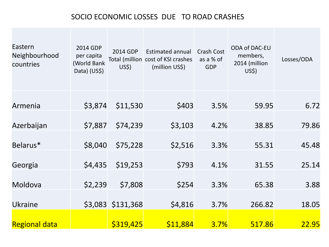#### SOCIO ECONOMIC LOSSES DUE TO ROAD CRASHES

| Eastern<br>Neighbourhood<br>countries | 2014 GDP<br>per capita<br>(World Bank<br>Data) (US\$) | 2014 GDP<br>US\$) | <b>Estimated annual</b><br>Total (million cost of KSI crashes<br>(million US\$) | Crash Cost<br>as a % of<br><b>GDP</b> | <b>ODA of DAC-EU</b><br>members,<br>2014 (million<br>US\$) | Losses/ODA |
|---------------------------------------|-------------------------------------------------------|-------------------|---------------------------------------------------------------------------------|---------------------------------------|------------------------------------------------------------|------------|
| Armenia                               | \$3,874                                               | \$11,530          | \$403                                                                           | 3.5%                                  | 59.95                                                      | 6.72       |
| Azerbaijan                            | \$7,887                                               | \$74,239          | \$3,103                                                                         | 4.2%                                  | 38.85                                                      | 79.86      |
| Belarus*                              | \$8,040                                               | \$75,228          | \$2,516                                                                         | 3.3%                                  | 55.31                                                      | 45.48      |
| Georgia                               | \$4,435                                               | \$19,253          | \$793                                                                           | 4.1%                                  | 31.55                                                      | 25.14      |
| Moldova                               | \$2,239                                               | \$7,808           | \$254                                                                           | 3.3%                                  | 65.38                                                      | 3.88       |
| <b>Ukraine</b>                        |                                                       | \$3,083 \$131,368 | \$4,816                                                                         | 3.7%                                  | 266.82                                                     | 18.05      |
| <b>Regional data</b>                  |                                                       | \$319,425         | \$11,884                                                                        | 3.7%                                  | 517.86                                                     | 22.95      |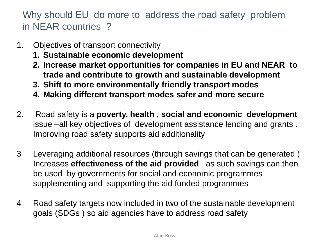Why should EU do more to address the road safety problem in NEAR countries ?

- 1. Objectives of transport connectivity
	- **1. Sustainable economic development**
	- **2. Increase market opportunities for companies in EU and NEAR to trade and contribute to growth and sustainable development**
	- **3. Shift to more environmentally friendly transport modes**
	- **4. Making different transport modes safer and more secure**
- 2. Road safety is a **poverty, health , social and economic development**  issue –all key objectives of development assistance lending and grants . Improving road safety supports aid additionality
- 3 Leveraging additional resources (through savings that can be generated ) Increases **effectiveness of the aid provided** as such savings can then be used by governments for social and economic programmes supplementing and supporting the aid funded programmes
- 4 Road safety targets now included in two of the sustainable development goals (SDGs ) so aid agencies have to address road safety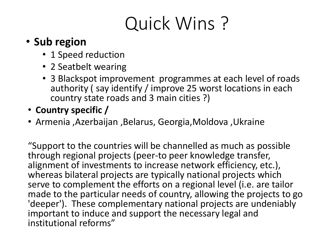# Quick Wins ?

### • **Sub region**

- 1 Speed reduction
- 2 Seatbelt wearing
- 3 Blackspot improvement programmes at each level of roads authority ( say identify / improve 25 worst locations in each country state roads and 3 main cities ?)
- **Country specific /**
- Armenia ,Azerbaijan ,Belarus, Georgia,Moldova ,Ukraine

"Support to the countries will be channelled as much as possible through regional projects (peer-to peer knowledge transfer, alignment of investments to increase network efficiency, etc.), whereas bilateral projects are typically national projects which serve to complement the efforts on a regional level (i.e. are tailor made to the particular needs of country, allowing the projects to go 'deeper'). These complementary national projects are undeniably important to induce and support the necessary legal and institutional reforms"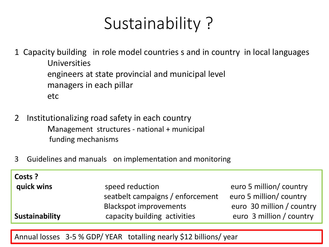## Sustainability ?

1 Capacity building in role model countries s and in country in local languages Universities engineers at state provincial and municipal level managers in each pillar etc

- 2 Institutionalizing road safety in each country Management structures - national + municipal funding mechanisms
- 3 Guidelines and manuals on implementation and monitoring

| Costs ?        |                                  |                           |
|----------------|----------------------------------|---------------------------|
| quick wins     | speed reduction                  | euro 5 million/ country   |
|                | seatbelt campaigns / enforcement | euro 5 million/ country   |
|                | <b>Blackspot improvements</b>    | euro 30 million / country |
| Sustainability | capacity building activities     | euro 3 million / country  |
|                |                                  |                           |

Annual losses 3-5 % GDP/ YEAR totalling nearly \$12 billions/ year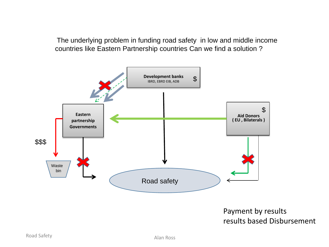The underlying problem in funding road safety in low and middle income countries like Eastern Partnership countries Can we find a solution ?



#### Payment by results results based Disbursement